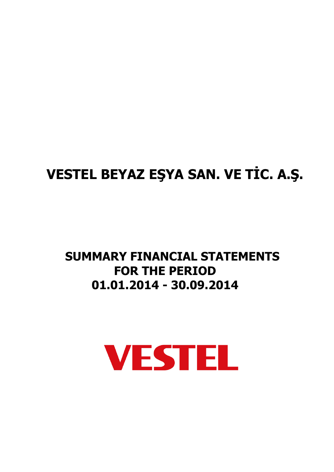# **VESTEL BEYAZ EŞYA SAN. VE TİC. A.Ş.**

# **SUMMARY FINANCIAL STATEMENTS FOR THE PERIOD 01.01.2014 - 30.09.2014**

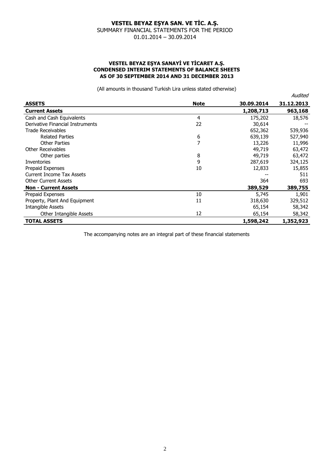#### **VESTEL BEYAZ EŞYA SANAYİ VE TİCARET A.Ş. CONDENSED INTERIM STATEMENTS OF BALANCE SHEETS AS OF 30 SEPTEMBER 2014 AND 31 DECEMBER 2013**

(All amounts in thousand Turkish Lira unless stated otherwise)

|                                  |             |            | Audited    |
|----------------------------------|-------------|------------|------------|
| <b>ASSETS</b>                    | <b>Note</b> | 30,09,2014 | 31.12.2013 |
| <b>Current Assets</b>            |             | 1,208,713  | 963,168    |
| Cash and Cash Equivalents        | 4           | 175,202    | 18,576     |
| Derivative Financial Instruments | 22          | 30,614     |            |
| <b>Trade Receivables</b>         |             | 652,362    | 539,936    |
| <b>Related Parties</b>           | 6           | 639,139    | 527,940    |
| <b>Other Parties</b>             | 7           | 13,226     | 11,996     |
| Other Receivables                |             | 49,719     | 63,472     |
| Other parties                    | 8           | 49,719     | 63,472     |
| Inventories                      | 9           | 287,619    | 324,125    |
| Prepaid Expenses                 | 10          | 12,833     | 15,855     |
| <b>Current Income Tax Assets</b> |             |            | 511        |
| <b>Other Current Assets</b>      |             | 364        | 693        |
| <b>Non - Current Assets</b>      |             | 389,529    | 389,755    |
| Prepaid Expenses                 | 10          | 5,745      | 1,901      |
| Property, Plant And Equipment    | 11          | 318,630    | 329,512    |
| Intangible Assets                |             | 65,154     | 58,342     |
| Other Intangible Assets          | 12          | 65,154     | 58,342     |
| <b>TOTAL ASSETS</b>              |             | 1,598,242  | 1,352,923  |

The accompanying notes are an integral part of these financial statements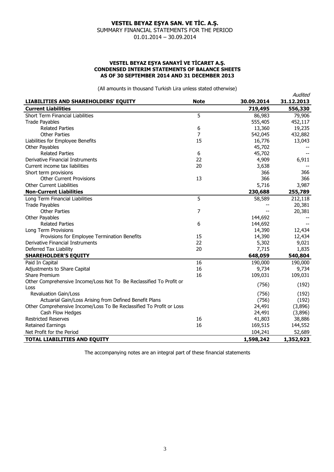#### **VESTEL BEYAZ EŞYA SANAYİ VE TİCARET A.Ş. CONDENSED INTERIM STATEMENTS OF BALANCE SHEETS AS OF 30 SEPTEMBER 2014 AND 31 DECEMBER 2013**

(All amounts in thousand Turkish Lira unless stated otherwise)

|                                                                      |             |            | Audited    |
|----------------------------------------------------------------------|-------------|------------|------------|
| <b>LIABILITIES AND SHAREHOLDERS' EQUITY</b>                          | <b>Note</b> | 30.09.2014 | 31.12.2013 |
| <b>Current Liabilities</b>                                           |             | 719,495    | 556,330    |
| Short Term Financial Liabilities                                     | 5           | 86,983     | 79,906     |
| <b>Trade Payables</b>                                                |             | 555,405    | 452,117    |
| <b>Related Parties</b>                                               | 6           | 13,360     | 19,235     |
| <b>Other Parties</b>                                                 | 7           | 542,045    | 432,882    |
| Liabilities for Employee Benefits                                    | 15          | 16,776     | 13,043     |
| Other Payables                                                       |             | 45,702     |            |
| <b>Related Parties</b>                                               | 6           | 45,702     |            |
| Derivative Financial Instruments                                     | 22          | 4,909      | 6,911      |
| Current income tax liabilities                                       | 20          | 3,638      |            |
| Short term provisions                                                |             | 366        | 366        |
| <b>Other Current Provisions</b>                                      | 13          | 366        | 366        |
| <b>Other Current Liabilities</b>                                     |             | 5,716      | 3,987      |
| <b>Non-Current Liabilities</b>                                       |             | 230,688    | 255,789    |
| Long Term Financial Liabilities                                      | 5           | 58,589     | 212,118    |
| <b>Trade Payables</b>                                                |             |            | 20,381     |
| <b>Other Parties</b>                                                 | 7           | $-$        | 20,381     |
| Other Payables                                                       |             | 144,692    |            |
| <b>Related Parties</b>                                               | 6           | 144,692    |            |
| Long Term Provisions                                                 |             | 14,390     | 12,434     |
| Provisions for Employee Termination Benefits                         | 15          | 14,390     | 12,434     |
| Derivative Financial Instruments                                     | 22          | 5,302      | 9,021      |
| Deferred Tax Liability                                               | 20          | 7,715      | 1,835      |
| <b>SHAREHOLDER'S EQUITY</b>                                          |             | 648,059    | 540,804    |
| Paid In Capital                                                      | 16          | 190,000    | 190,000    |
| Adjustments to Share Capital                                         | 16          | 9,734      | 9,734      |
| Share Premium                                                        | 16          | 109,031    | 109,031    |
| Other Comprehensive Income/Loss Not To Be Reclassified To Profit or  |             | (756)      | (192)      |
| Loss                                                                 |             |            |            |
| <b>Revaluation Gain/Loss</b>                                         |             | (756)      | (192)      |
| Actuarial Gain/Loss Arising from Defined Benefit Plans               |             | (756)      | (192)      |
| Other Comprehensive Income/Loss To Be Reclassified To Profit or Loss |             | 24,491     | (3,896)    |
| Cash Flow Hedges                                                     |             | 24,491     | (3,896)    |
| <b>Restricted Reserves</b>                                           | 16          | 41,803     | 38,886     |
| <b>Retained Earnings</b>                                             | 16          | 169,515    | 144,552    |
| Net Profit for the Period                                            |             | 104,241    | 52,689     |
| <b>TOTAL LIABILITIES AND EQUITY</b>                                  |             | 1,598,242  | 1,352,923  |

The accompanying notes are an integral part of these financial statements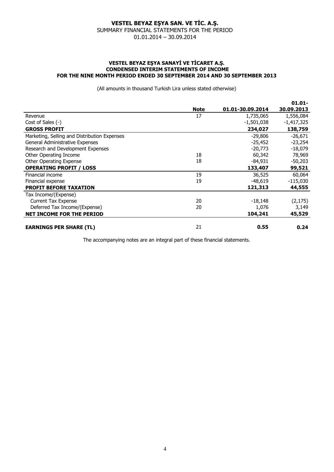#### **VESTEL BEYAZ EŞYA SANAYİ VE TİCARET A.Ş. CONDENSED INTERIM STATEMENTS OF INCOME FOR THE NINE MONTH PERIOD ENDED 30 SEPTEMBER 2014 AND 30 SEPTEMBER 2013**

(All amounts in thousand Turkish Lira unless stated otherwise)

|                                              |             |                  | $01.01 -$    |
|----------------------------------------------|-------------|------------------|--------------|
|                                              | <b>Note</b> | 01.01-30.09.2014 | 30.09.2013   |
| Revenue                                      | 17          | 1,735,065        | 1,556,084    |
| Cost of Sales (-)                            |             | $-1,501,038$     | $-1,417,325$ |
| <b>GROSS PROFIT</b>                          |             | 234,027          | 138,759      |
| Marketing, Selling and Distribution Expenses |             | $-29,806$        | $-26,671$    |
| General Administrative Expenses              |             | $-25,452$        | $-23,254$    |
| Research and Development Expenses            |             | $-20,773$        | $-18,079$    |
| Other Operating Income                       | 18          | 60,342           | 78,969       |
| <b>Other Operating Expense</b>               | 18          | -84,931          | $-50,203$    |
| <b>OPERATING PROFIT / LOSS</b>               |             | 133,407          | 99,521       |
| Financial income                             | 19          | 36,525           | 60,064       |
| Financial expense                            | 19          | $-48.619$        | $-115,030$   |
| <b>PROFIT BEFORE TAXATION</b>                |             | 121,313          | 44,555       |
| Tax Income/(Expense)                         |             |                  |              |
| <b>Current Tax Expense</b>                   | 20          | $-18,148$        | (2, 175)     |
| Deferred Tax Income/(Expense)                | 20          | 1,076            | 3,149        |
| <b>NET INCOME FOR THE PERIOD</b>             |             | 104,241          | 45,529       |
| <b>EARNINGS PER SHARE (TL)</b>               | 21          | 0.55             | 0.24         |

The accompanying notes are an integral part of these financial statements.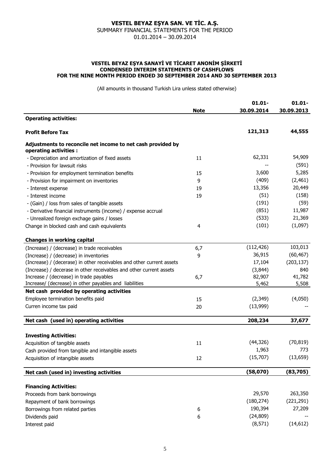#### **VESTEL BEYAZ EŞYA SANAYİ VE TİCARET ANONİM ŞİRKETİ CONDENSED INTERIM STATEMENTS OF CASHFLOWS FOR THE NINE MONTH PERIOD ENDED 30 SEPTEMBER 2014 AND 30 SEPTEMBER 2013**

(All amounts in thousand Turkish Lira unless stated otherwise)

| <b>Operating activities:</b><br>121,313<br>44,555<br><b>Profit Before Tax</b><br>Adjustments to reconcile net income to net cash provided by<br>operating activities :<br>62,331<br>54,909<br>- Depreciation and amortization of fixed assets<br>11<br>(591)<br>- Provision for lawsuit risks<br>5,285<br>3,600<br>15<br>- Provision for employment termination benefits<br>(2, 461)<br>(409)<br>9<br>- Provision for impairment on inventories<br>13,356<br>20,449<br>19<br>- Interest expense<br>(51)<br>(158)<br>- Interest income<br>19<br>(191)<br>(59)<br>- (Gain) / loss from sales of tangible assets<br>(851)<br>11,987<br>- Derivative financial instruments (income) / expense accrual<br>(533)<br>21,369<br>- Unrealized foreign exchage gains / losses<br>(1,097)<br>(101)<br>Change in blocked cash and cash equivalents<br>4<br><b>Changes in working capital</b><br>103,013<br>(112, 426)<br>(Increase) / (decrease) in trade receivables<br>6,7<br>36,915<br>(60, 467)<br>(Increase) / (decrease) in inventories<br>9<br>(Increase) / (decerase) in other receivables and other current assets<br>(203, 137)<br>17,104<br>(Increase) / decerase in other receivables and other current assets<br>(3,844)<br>840<br>Increase / (decrease) in trade payables<br>82,907<br>41,782<br>6,7<br>Increase/ (decrease) in other payables and liabilities<br>5,462<br>5,508<br>Net cash provided by operating activities<br>Employee termination benefits paid<br>(2,349)<br>(4,050)<br>15<br>Curren income tax paid<br>(13,999)<br>20<br>Net cash (used in) operating activities<br>208,234<br>37,677<br><b>Investing Activities:</b><br>(70, 819)<br>(44, 326)<br>Acquisition of tangible assets<br>11<br>1,963<br>773<br>Cash provided from tangible and intangible assets<br>(15,707)<br>(13, 659)<br>12<br>Acquisition of intangible assets<br>(58,070)<br>(83,705)<br>Net cash (used in) investing activities<br><b>Financing Activities:</b><br>29,570<br>263,350<br>Proceeds from bank borrowings |                              | <b>Note</b> | $01.01 -$<br>30.09.2014 | $01.01 -$<br>30.09.2013 |
|------------------------------------------------------------------------------------------------------------------------------------------------------------------------------------------------------------------------------------------------------------------------------------------------------------------------------------------------------------------------------------------------------------------------------------------------------------------------------------------------------------------------------------------------------------------------------------------------------------------------------------------------------------------------------------------------------------------------------------------------------------------------------------------------------------------------------------------------------------------------------------------------------------------------------------------------------------------------------------------------------------------------------------------------------------------------------------------------------------------------------------------------------------------------------------------------------------------------------------------------------------------------------------------------------------------------------------------------------------------------------------------------------------------------------------------------------------------------------------------------------------------------------------------------------------------------------------------------------------------------------------------------------------------------------------------------------------------------------------------------------------------------------------------------------------------------------------------------------------------------------------------------------------------------------------------------------------------------------------------------------------------|------------------------------|-------------|-------------------------|-------------------------|
|                                                                                                                                                                                                                                                                                                                                                                                                                                                                                                                                                                                                                                                                                                                                                                                                                                                                                                                                                                                                                                                                                                                                                                                                                                                                                                                                                                                                                                                                                                                                                                                                                                                                                                                                                                                                                                                                                                                                                                                                                  |                              |             |                         |                         |
|                                                                                                                                                                                                                                                                                                                                                                                                                                                                                                                                                                                                                                                                                                                                                                                                                                                                                                                                                                                                                                                                                                                                                                                                                                                                                                                                                                                                                                                                                                                                                                                                                                                                                                                                                                                                                                                                                                                                                                                                                  |                              |             |                         |                         |
|                                                                                                                                                                                                                                                                                                                                                                                                                                                                                                                                                                                                                                                                                                                                                                                                                                                                                                                                                                                                                                                                                                                                                                                                                                                                                                                                                                                                                                                                                                                                                                                                                                                                                                                                                                                                                                                                                                                                                                                                                  |                              |             |                         |                         |
|                                                                                                                                                                                                                                                                                                                                                                                                                                                                                                                                                                                                                                                                                                                                                                                                                                                                                                                                                                                                                                                                                                                                                                                                                                                                                                                                                                                                                                                                                                                                                                                                                                                                                                                                                                                                                                                                                                                                                                                                                  |                              |             |                         |                         |
|                                                                                                                                                                                                                                                                                                                                                                                                                                                                                                                                                                                                                                                                                                                                                                                                                                                                                                                                                                                                                                                                                                                                                                                                                                                                                                                                                                                                                                                                                                                                                                                                                                                                                                                                                                                                                                                                                                                                                                                                                  |                              |             |                         |                         |
|                                                                                                                                                                                                                                                                                                                                                                                                                                                                                                                                                                                                                                                                                                                                                                                                                                                                                                                                                                                                                                                                                                                                                                                                                                                                                                                                                                                                                                                                                                                                                                                                                                                                                                                                                                                                                                                                                                                                                                                                                  |                              |             |                         |                         |
|                                                                                                                                                                                                                                                                                                                                                                                                                                                                                                                                                                                                                                                                                                                                                                                                                                                                                                                                                                                                                                                                                                                                                                                                                                                                                                                                                                                                                                                                                                                                                                                                                                                                                                                                                                                                                                                                                                                                                                                                                  |                              |             |                         |                         |
|                                                                                                                                                                                                                                                                                                                                                                                                                                                                                                                                                                                                                                                                                                                                                                                                                                                                                                                                                                                                                                                                                                                                                                                                                                                                                                                                                                                                                                                                                                                                                                                                                                                                                                                                                                                                                                                                                                                                                                                                                  |                              |             |                         |                         |
|                                                                                                                                                                                                                                                                                                                                                                                                                                                                                                                                                                                                                                                                                                                                                                                                                                                                                                                                                                                                                                                                                                                                                                                                                                                                                                                                                                                                                                                                                                                                                                                                                                                                                                                                                                                                                                                                                                                                                                                                                  |                              |             |                         |                         |
|                                                                                                                                                                                                                                                                                                                                                                                                                                                                                                                                                                                                                                                                                                                                                                                                                                                                                                                                                                                                                                                                                                                                                                                                                                                                                                                                                                                                                                                                                                                                                                                                                                                                                                                                                                                                                                                                                                                                                                                                                  |                              |             |                         |                         |
|                                                                                                                                                                                                                                                                                                                                                                                                                                                                                                                                                                                                                                                                                                                                                                                                                                                                                                                                                                                                                                                                                                                                                                                                                                                                                                                                                                                                                                                                                                                                                                                                                                                                                                                                                                                                                                                                                                                                                                                                                  |                              |             |                         |                         |
|                                                                                                                                                                                                                                                                                                                                                                                                                                                                                                                                                                                                                                                                                                                                                                                                                                                                                                                                                                                                                                                                                                                                                                                                                                                                                                                                                                                                                                                                                                                                                                                                                                                                                                                                                                                                                                                                                                                                                                                                                  |                              |             |                         |                         |
|                                                                                                                                                                                                                                                                                                                                                                                                                                                                                                                                                                                                                                                                                                                                                                                                                                                                                                                                                                                                                                                                                                                                                                                                                                                                                                                                                                                                                                                                                                                                                                                                                                                                                                                                                                                                                                                                                                                                                                                                                  |                              |             |                         |                         |
|                                                                                                                                                                                                                                                                                                                                                                                                                                                                                                                                                                                                                                                                                                                                                                                                                                                                                                                                                                                                                                                                                                                                                                                                                                                                                                                                                                                                                                                                                                                                                                                                                                                                                                                                                                                                                                                                                                                                                                                                                  |                              |             |                         |                         |
|                                                                                                                                                                                                                                                                                                                                                                                                                                                                                                                                                                                                                                                                                                                                                                                                                                                                                                                                                                                                                                                                                                                                                                                                                                                                                                                                                                                                                                                                                                                                                                                                                                                                                                                                                                                                                                                                                                                                                                                                                  |                              |             |                         |                         |
|                                                                                                                                                                                                                                                                                                                                                                                                                                                                                                                                                                                                                                                                                                                                                                                                                                                                                                                                                                                                                                                                                                                                                                                                                                                                                                                                                                                                                                                                                                                                                                                                                                                                                                                                                                                                                                                                                                                                                                                                                  |                              |             |                         |                         |
|                                                                                                                                                                                                                                                                                                                                                                                                                                                                                                                                                                                                                                                                                                                                                                                                                                                                                                                                                                                                                                                                                                                                                                                                                                                                                                                                                                                                                                                                                                                                                                                                                                                                                                                                                                                                                                                                                                                                                                                                                  |                              |             |                         |                         |
|                                                                                                                                                                                                                                                                                                                                                                                                                                                                                                                                                                                                                                                                                                                                                                                                                                                                                                                                                                                                                                                                                                                                                                                                                                                                                                                                                                                                                                                                                                                                                                                                                                                                                                                                                                                                                                                                                                                                                                                                                  |                              |             |                         |                         |
|                                                                                                                                                                                                                                                                                                                                                                                                                                                                                                                                                                                                                                                                                                                                                                                                                                                                                                                                                                                                                                                                                                                                                                                                                                                                                                                                                                                                                                                                                                                                                                                                                                                                                                                                                                                                                                                                                                                                                                                                                  |                              |             |                         |                         |
|                                                                                                                                                                                                                                                                                                                                                                                                                                                                                                                                                                                                                                                                                                                                                                                                                                                                                                                                                                                                                                                                                                                                                                                                                                                                                                                                                                                                                                                                                                                                                                                                                                                                                                                                                                                                                                                                                                                                                                                                                  |                              |             |                         |                         |
|                                                                                                                                                                                                                                                                                                                                                                                                                                                                                                                                                                                                                                                                                                                                                                                                                                                                                                                                                                                                                                                                                                                                                                                                                                                                                                                                                                                                                                                                                                                                                                                                                                                                                                                                                                                                                                                                                                                                                                                                                  |                              |             |                         |                         |
|                                                                                                                                                                                                                                                                                                                                                                                                                                                                                                                                                                                                                                                                                                                                                                                                                                                                                                                                                                                                                                                                                                                                                                                                                                                                                                                                                                                                                                                                                                                                                                                                                                                                                                                                                                                                                                                                                                                                                                                                                  |                              |             |                         |                         |
|                                                                                                                                                                                                                                                                                                                                                                                                                                                                                                                                                                                                                                                                                                                                                                                                                                                                                                                                                                                                                                                                                                                                                                                                                                                                                                                                                                                                                                                                                                                                                                                                                                                                                                                                                                                                                                                                                                                                                                                                                  |                              |             |                         |                         |
|                                                                                                                                                                                                                                                                                                                                                                                                                                                                                                                                                                                                                                                                                                                                                                                                                                                                                                                                                                                                                                                                                                                                                                                                                                                                                                                                                                                                                                                                                                                                                                                                                                                                                                                                                                                                                                                                                                                                                                                                                  |                              |             |                         |                         |
|                                                                                                                                                                                                                                                                                                                                                                                                                                                                                                                                                                                                                                                                                                                                                                                                                                                                                                                                                                                                                                                                                                                                                                                                                                                                                                                                                                                                                                                                                                                                                                                                                                                                                                                                                                                                                                                                                                                                                                                                                  |                              |             |                         |                         |
|                                                                                                                                                                                                                                                                                                                                                                                                                                                                                                                                                                                                                                                                                                                                                                                                                                                                                                                                                                                                                                                                                                                                                                                                                                                                                                                                                                                                                                                                                                                                                                                                                                                                                                                                                                                                                                                                                                                                                                                                                  |                              |             |                         |                         |
|                                                                                                                                                                                                                                                                                                                                                                                                                                                                                                                                                                                                                                                                                                                                                                                                                                                                                                                                                                                                                                                                                                                                                                                                                                                                                                                                                                                                                                                                                                                                                                                                                                                                                                                                                                                                                                                                                                                                                                                                                  |                              |             |                         |                         |
|                                                                                                                                                                                                                                                                                                                                                                                                                                                                                                                                                                                                                                                                                                                                                                                                                                                                                                                                                                                                                                                                                                                                                                                                                                                                                                                                                                                                                                                                                                                                                                                                                                                                                                                                                                                                                                                                                                                                                                                                                  |                              |             |                         |                         |
|                                                                                                                                                                                                                                                                                                                                                                                                                                                                                                                                                                                                                                                                                                                                                                                                                                                                                                                                                                                                                                                                                                                                                                                                                                                                                                                                                                                                                                                                                                                                                                                                                                                                                                                                                                                                                                                                                                                                                                                                                  |                              |             |                         |                         |
|                                                                                                                                                                                                                                                                                                                                                                                                                                                                                                                                                                                                                                                                                                                                                                                                                                                                                                                                                                                                                                                                                                                                                                                                                                                                                                                                                                                                                                                                                                                                                                                                                                                                                                                                                                                                                                                                                                                                                                                                                  |                              |             |                         |                         |
|                                                                                                                                                                                                                                                                                                                                                                                                                                                                                                                                                                                                                                                                                                                                                                                                                                                                                                                                                                                                                                                                                                                                                                                                                                                                                                                                                                                                                                                                                                                                                                                                                                                                                                                                                                                                                                                                                                                                                                                                                  |                              |             |                         |                         |
|                                                                                                                                                                                                                                                                                                                                                                                                                                                                                                                                                                                                                                                                                                                                                                                                                                                                                                                                                                                                                                                                                                                                                                                                                                                                                                                                                                                                                                                                                                                                                                                                                                                                                                                                                                                                                                                                                                                                                                                                                  | Repayment of bank borrowings |             | (180, 274)              | (221, 291)              |
| 190,394<br>27,209<br>Borrowings from related parties<br>6                                                                                                                                                                                                                                                                                                                                                                                                                                                                                                                                                                                                                                                                                                                                                                                                                                                                                                                                                                                                                                                                                                                                                                                                                                                                                                                                                                                                                                                                                                                                                                                                                                                                                                                                                                                                                                                                                                                                                        |                              |             |                         |                         |
| (24, 809)<br>Dividends paid<br>6                                                                                                                                                                                                                                                                                                                                                                                                                                                                                                                                                                                                                                                                                                                                                                                                                                                                                                                                                                                                                                                                                                                                                                                                                                                                                                                                                                                                                                                                                                                                                                                                                                                                                                                                                                                                                                                                                                                                                                                 |                              |             |                         |                         |
| (8, 571)<br>(14, 612)<br>Interest paid                                                                                                                                                                                                                                                                                                                                                                                                                                                                                                                                                                                                                                                                                                                                                                                                                                                                                                                                                                                                                                                                                                                                                                                                                                                                                                                                                                                                                                                                                                                                                                                                                                                                                                                                                                                                                                                                                                                                                                           |                              |             |                         |                         |